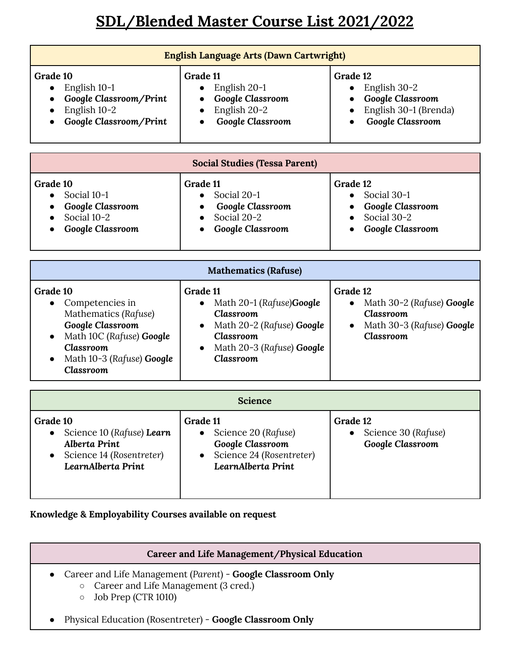# **SDL/Blended Master Course List 2021/2022**

| English Language Arts (Dawn Cartwright)                                                                                                                           |                                                                                                                                                                                      |                                                                                                                         |  |  |
|-------------------------------------------------------------------------------------------------------------------------------------------------------------------|--------------------------------------------------------------------------------------------------------------------------------------------------------------------------------------|-------------------------------------------------------------------------------------------------------------------------|--|--|
| Grade 10<br>English 10-1<br>$\bullet$<br>Google Classroom/Print<br>English 10-2<br>Google Classroom/Print                                                         | Grade 11<br>English 20-1<br>$\bullet$<br>Google Classroom<br>English 20-2<br>Google Classroom                                                                                        | Grade 12<br>English 30-2<br>$\bullet$<br>Google Classroom<br>English 30-1 (Brenda)<br>Google Classroom                  |  |  |
| <b>Social Studies (Tessa Parent)</b>                                                                                                                              |                                                                                                                                                                                      |                                                                                                                         |  |  |
| Grade 10<br>Social 10-1<br>$\bullet$<br>Google Classroom<br>Social 10-2<br>Google Classroom                                                                       | Grade 11<br>Social 20-1<br>$\bullet$<br>Google Classroom<br>Social 20-2<br>Google Classroom                                                                                          | Grade 12<br>Social 30-1<br>$\bullet$<br>Google Classroom<br>Social 30-2<br>Google Classroom                             |  |  |
| <b>Mathematics (Rafuse)</b>                                                                                                                                       |                                                                                                                                                                                      |                                                                                                                         |  |  |
| Grade 10<br>Competencies in<br>Mathematics (Rafuse)<br>Google Classroom<br>Math 10C (Rafuse) Google<br><b>Classroom</b><br>Math 10-3 (Rafuse) Google<br>Classroom | Grade 11<br>Math 20-1 (Rafuse)Google<br>$\bullet$<br><b>Classroom</b><br>Math 20-2 (Rafuse) Google<br><b>Classroom</b><br>Math 20-3 (Rafuse) Google<br>$\bullet$<br><b>Classroom</b> | Grade 12<br>Math 30-2 (Rafuse) Google<br>$\bullet$<br><b>Classroom</b><br>Math 30-3 (Rafuse) Google<br><b>Classroom</b> |  |  |
| <b>Science</b>                                                                                                                                                    |                                                                                                                                                                                      |                                                                                                                         |  |  |

| Grade 10<br>Science 10 (Rafuse) Learn<br><b>Alberta Print</b><br>Science 14 (Rosentreter)<br>LearnAlberta Print | Grade 11<br>Science 20 (Rafuse)<br>Google Classroom<br>Science 24 (Rosentreter)<br>LearnAlberta Print | Grade 12<br>Science 30 (Rafuse)<br>Google Classroom |  |
|-----------------------------------------------------------------------------------------------------------------|-------------------------------------------------------------------------------------------------------|-----------------------------------------------------|--|

## **Knowledge & Employability Courses available on request**

#### **Career and Life Management/Physical Education**

- Career and Life Management (*Parent*) **Google Classroom Only**
	- Career and Life Management (3 cred.)
	- Job Prep (CTR 1010)
- Physical Education (Rosentreter) **Google Classroom Only**